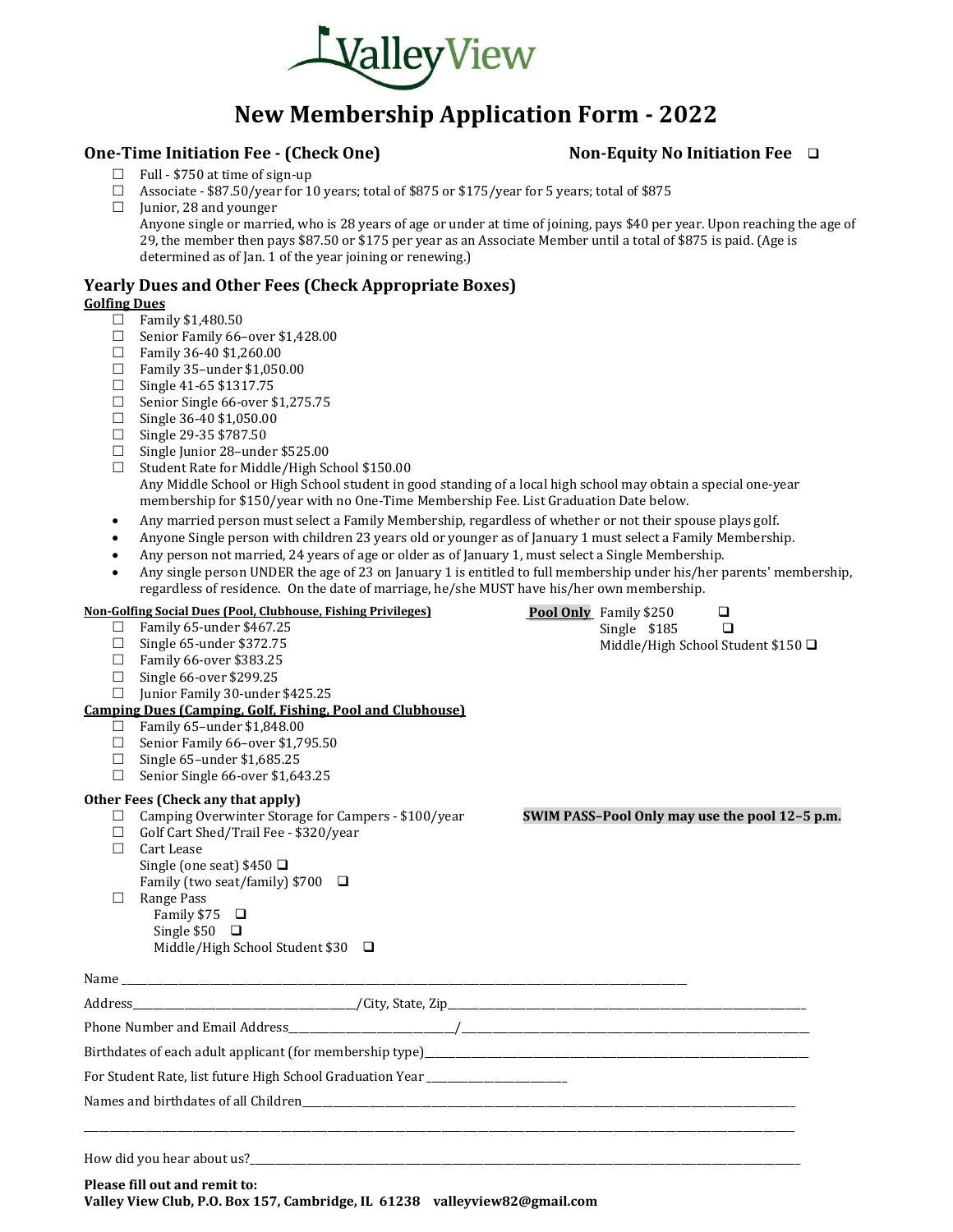

## **New Membership Application Form - 2022**

### **One-Time Initiation Fee - (Check One) Non-Equity No Initiation Fee** ❑

- $\Box$  Full \$750 at time of sign-up
- $\Box$  Associate \$87.50/year for 10 years; total of \$875 or \$175/year for 5 years; total of \$875
- $\Box$  Junior, 28 and younger

Anyone single or married, who is 28 years of age or under at time of joining, pays \$40 per year. Upon reaching the age of 29, the member then pays \$87.50 or \$175 per year as an Associate Member until a total of \$875 is paid. (Age is determined as of Jan. 1 of the year joining or renewing.)

### **Yearly Dues and Other Fees (Check Appropriate Boxes) Golfing Dues**

- 
- $\Box$  Family \$1,480.50
- $\Box$  Senior Family 66-over \$1,428.00
- $\Box$  Family 36-40 \$1,260.00
- $\Box$  Family 35-under \$1,050.00
- $\Box$  Single 41-65 \$1317.75
- $\Box$  Senior Single 66-over \$1,275.75
- $\Box$  Single 36-40 \$1,050.00
- $\Box$  Single 29-35 \$787.50
- $\Box$  Single Junior 28-under \$525.00
- $\Box$  Student Rate for Middle/High School \$150.00 Any Middle School or High School student in good standing of a local high school may obtain a special one-year membership for \$150/year with no One-Time Membership Fee. List Graduation Date below.
- Any married person must select a Family Membership, regardless of whether or not their spouse plays golf.
- Anyone Single person with children 23 years old or younger as of January 1 must select a Family Membership.
- Any person not married, 24 years of age or older as of January 1, must select a Single Membership.
- Any single person UNDER the age of 23 on January 1 is entitled to full membership under his/her parents' membership, regardless of residence. On the date of marriage, he/she MUST have his/her own membership.

|         | <b>Non-Golfing Social Dues (Pool, Clubhouse, Fishing Privileges)</b>             | Pool Only Family \$250           | $\Box$                                         |
|---------|----------------------------------------------------------------------------------|----------------------------------|------------------------------------------------|
| $\perp$ | Family 65-under \$467.25                                                         | Single \$185                     | $\Box$                                         |
| $\Box$  | Single 65-under \$372.75                                                         | Middle/High School Student \$150 |                                                |
|         | Family 66-over \$383.25                                                          |                                  |                                                |
|         | Single 66-over \$299.25                                                          |                                  |                                                |
| $\perp$ | Junior Family 30-under \$425.25                                                  |                                  |                                                |
|         | <b>Camping Dues (Camping, Golf, Fishing, Pool and Clubhouse)</b>                 |                                  |                                                |
| $\Box$  | Family 65-under \$1,848.00                                                       |                                  |                                                |
| $\Box$  | Senior Family 66-over \$1,795.50                                                 |                                  |                                                |
| П       | Single 65-under \$1,685.25                                                       |                                  |                                                |
| П       | Senior Single 66-over \$1,643.25                                                 |                                  |                                                |
|         | Other Fees (Check any that apply)                                                |                                  |                                                |
| Ш       | Camping Overwinter Storage for Campers - \$100/year                              |                                  | SWIM PASS-Pool Only may use the pool 12-5 p.m. |
| $\Box$  | Golf Cart Shed/Trail Fee - \$320/year                                            |                                  |                                                |
|         | Cart Lease                                                                       |                                  |                                                |
|         | Single (one seat) $$450$ $\square$                                               |                                  |                                                |
|         | Family (two seat/family) $$700$ $\Box$                                           |                                  |                                                |
|         | Range Pass                                                                       |                                  |                                                |
|         | Family $$75$ $\Box$                                                              |                                  |                                                |
|         | Single $$50$ $\Box$<br>Middle/High School Student \$30 □                         |                                  |                                                |
|         |                                                                                  |                                  |                                                |
|         |                                                                                  |                                  |                                                |
|         |                                                                                  |                                  |                                                |
|         |                                                                                  |                                  |                                                |
|         |                                                                                  |                                  |                                                |
|         | For Student Rate, list future High School Graduation Year ______________________ |                                  |                                                |
|         |                                                                                  |                                  |                                                |
|         |                                                                                  |                                  |                                                |
|         |                                                                                  |                                  |                                                |
|         |                                                                                  |                                  |                                                |